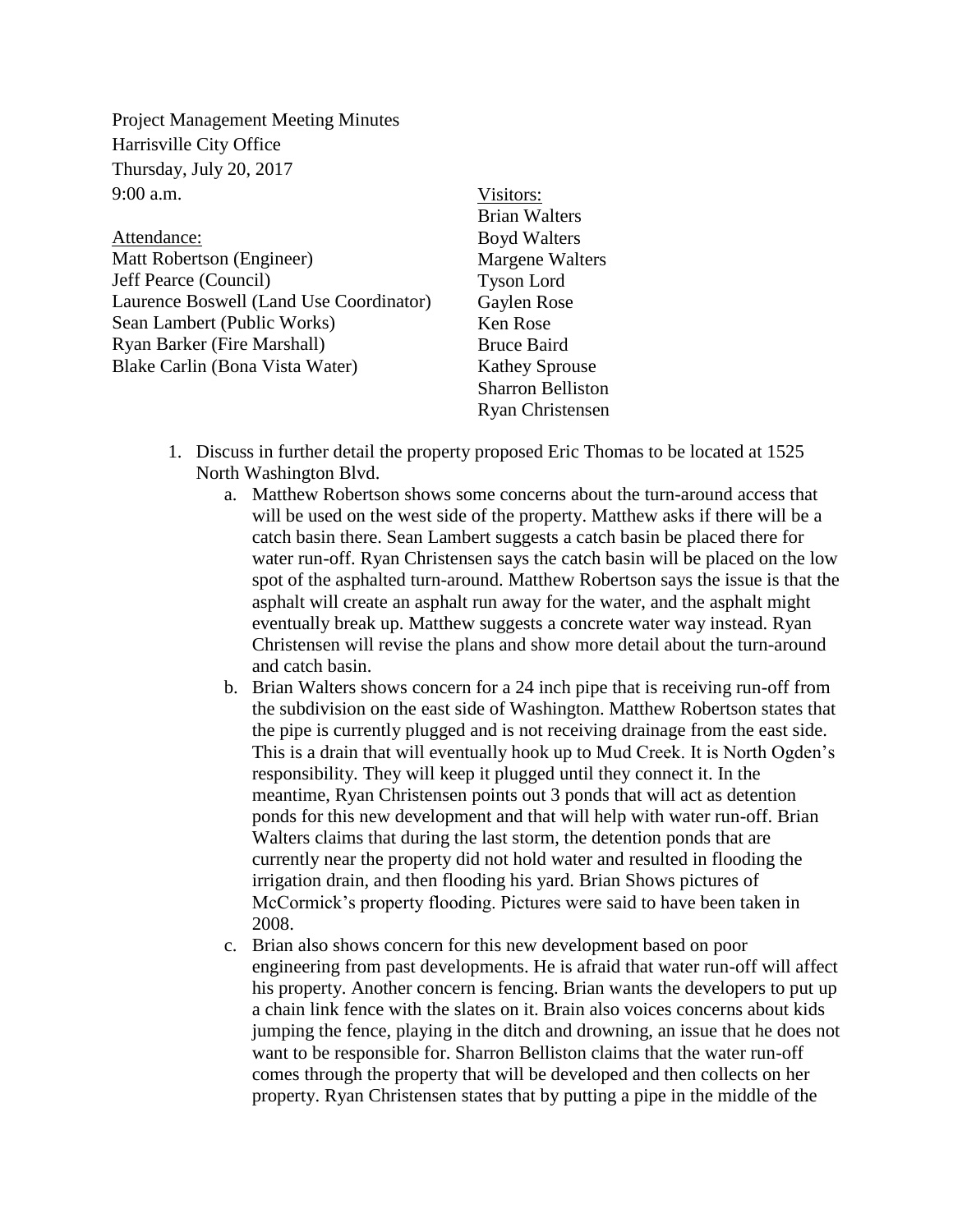Project Management Meeting Minutes Harrisville City Office Thursday, July 20, 2017 9:00 a.m.

Attendance: Matt Robertson (Engineer) Jeff Pearce (Council) Laurence Boswell (Land Use Coordinator) Sean Lambert (Public Works) Ryan Barker (Fire Marshall) Blake Carlin (Bona Vista Water)

Visitors: Brian Walters Boyd Walters Margene Walters Tyson Lord Gaylen Rose Ken Rose Bruce Baird Kathey Sprouse Sharron Belliston Ryan Christensen

- 1. Discuss in further detail the property proposed Eric Thomas to be located at 1525 North Washington Blvd.
	- a. Matthew Robertson shows some concerns about the turn-around access that will be used on the west side of the property. Matthew asks if there will be a catch basin there. Sean Lambert suggests a catch basin be placed there for water run-off. Ryan Christensen says the catch basin will be placed on the low spot of the asphalted turn-around. Matthew Robertson says the issue is that the asphalt will create an asphalt run away for the water, and the asphalt might eventually break up. Matthew suggests a concrete water way instead. Ryan Christensen will revise the plans and show more detail about the turn-around and catch basin.
	- b. Brian Walters shows concern for a 24 inch pipe that is receiving run-off from the subdivision on the east side of Washington. Matthew Robertson states that the pipe is currently plugged and is not receiving drainage from the east side. This is a drain that will eventually hook up to Mud Creek. It is North Ogden's responsibility. They will keep it plugged until they connect it. In the meantime, Ryan Christensen points out 3 ponds that will act as detention ponds for this new development and that will help with water run-off. Brian Walters claims that during the last storm, the detention ponds that are currently near the property did not hold water and resulted in flooding the irrigation drain, and then flooding his yard. Brian Shows pictures of McCormick's property flooding. Pictures were said to have been taken in 2008.
	- c. Brian also shows concern for this new development based on poor engineering from past developments. He is afraid that water run-off will affect his property. Another concern is fencing. Brian wants the developers to put up a chain link fence with the slates on it. Brain also voices concerns about kids jumping the fence, playing in the ditch and drowning, an issue that he does not want to be responsible for. Sharron Belliston claims that the water run-off comes through the property that will be developed and then collects on her property. Ryan Christensen states that by putting a pipe in the middle of the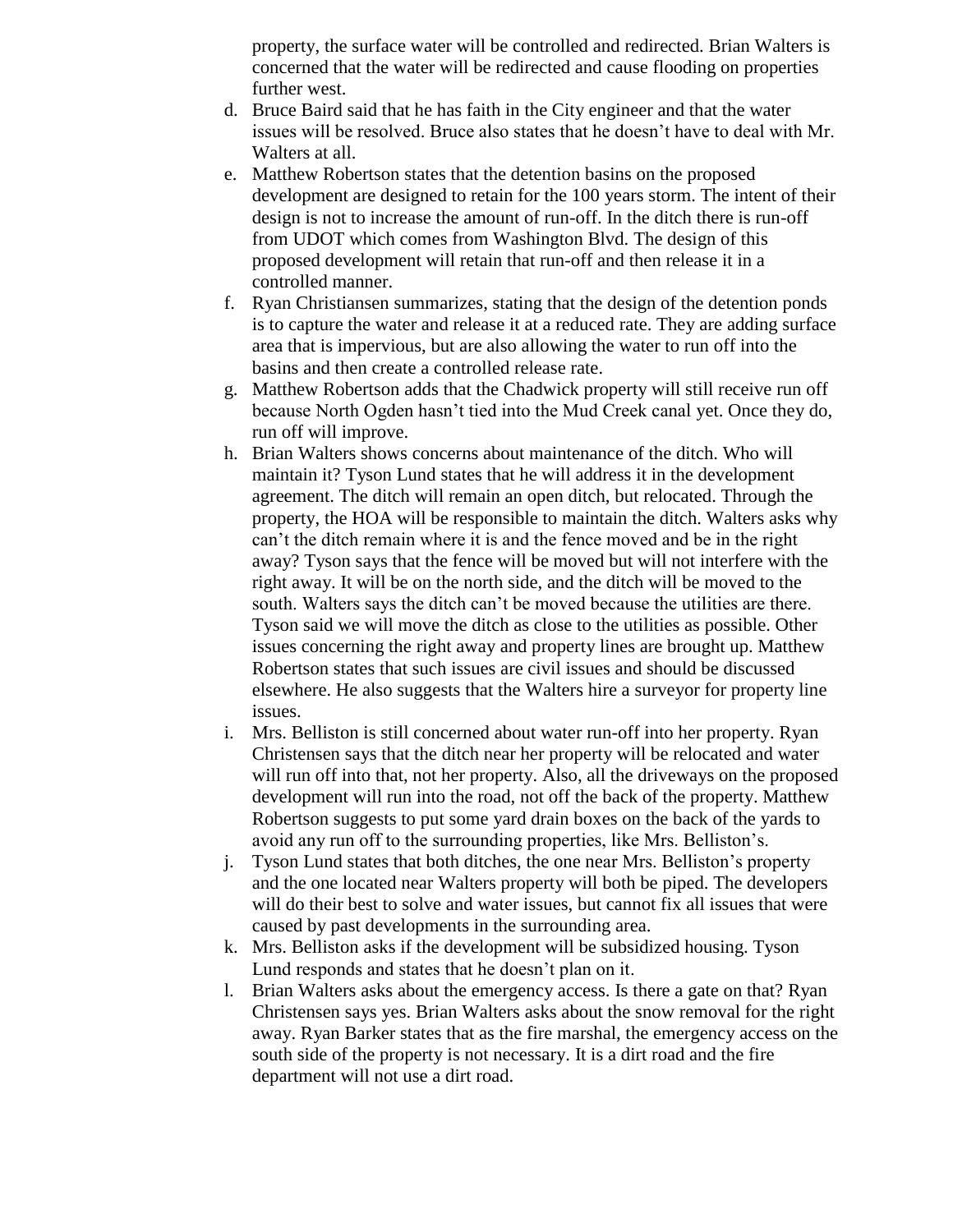property, the surface water will be controlled and redirected. Brian Walters is concerned that the water will be redirected and cause flooding on properties further west.

- d. Bruce Baird said that he has faith in the City engineer and that the water issues will be resolved. Bruce also states that he doesn't have to deal with Mr. Walters at all.
- e. Matthew Robertson states that the detention basins on the proposed development are designed to retain for the 100 years storm. The intent of their design is not to increase the amount of run-off. In the ditch there is run-off from UDOT which comes from Washington Blvd. The design of this proposed development will retain that run-off and then release it in a controlled manner.
- f. Ryan Christiansen summarizes, stating that the design of the detention ponds is to capture the water and release it at a reduced rate. They are adding surface area that is impervious, but are also allowing the water to run off into the basins and then create a controlled release rate.
- g. Matthew Robertson adds that the Chadwick property will still receive run off because North Ogden hasn't tied into the Mud Creek canal yet. Once they do, run off will improve.
- h. Brian Walters shows concerns about maintenance of the ditch. Who will maintain it? Tyson Lund states that he will address it in the development agreement. The ditch will remain an open ditch, but relocated. Through the property, the HOA will be responsible to maintain the ditch. Walters asks why can't the ditch remain where it is and the fence moved and be in the right away? Tyson says that the fence will be moved but will not interfere with the right away. It will be on the north side, and the ditch will be moved to the south. Walters says the ditch can't be moved because the utilities are there. Tyson said we will move the ditch as close to the utilities as possible. Other issues concerning the right away and property lines are brought up. Matthew Robertson states that such issues are civil issues and should be discussed elsewhere. He also suggests that the Walters hire a surveyor for property line issues.
- i. Mrs. Belliston is still concerned about water run-off into her property. Ryan Christensen says that the ditch near her property will be relocated and water will run off into that, not her property. Also, all the driveways on the proposed development will run into the road, not off the back of the property. Matthew Robertson suggests to put some yard drain boxes on the back of the yards to avoid any run off to the surrounding properties, like Mrs. Belliston's.
- j. Tyson Lund states that both ditches, the one near Mrs. Belliston's property and the one located near Walters property will both be piped. The developers will do their best to solve and water issues, but cannot fix all issues that were caused by past developments in the surrounding area.
- k. Mrs. Belliston asks if the development will be subsidized housing. Tyson Lund responds and states that he doesn't plan on it.
- l. Brian Walters asks about the emergency access. Is there a gate on that? Ryan Christensen says yes. Brian Walters asks about the snow removal for the right away. Ryan Barker states that as the fire marshal, the emergency access on the south side of the property is not necessary. It is a dirt road and the fire department will not use a dirt road.